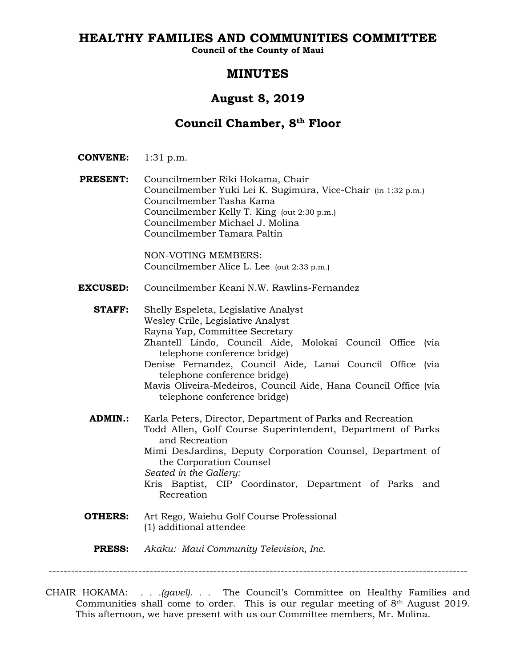# **HEALTHY FAMILIES AND COMMUNITIES COMMITTEE**

**Council of the County of Maui**

# **MINUTES**

# **August 8, 2019**

# **Council Chamber, 8th Floor**

- **CONVENE:** 1:31 p.m.
- **PRESENT:** Councilmember Riki Hokama, Chair Councilmember Yuki Lei K. Sugimura, Vice-Chair (in 1:32 p.m.) Councilmember Tasha Kama Councilmember Kelly T. King (out 2:30 p.m.) Councilmember Michael J. Molina Councilmember Tamara Paltin

NON-VOTING MEMBERS: Councilmember Alice L. Lee (out 2:33 p.m.)

- **EXCUSED:** Councilmember Keani N.W. Rawlins-Fernandez
	- **STAFF:** Shelly Espeleta, Legislative Analyst Wesley Crile, Legislative Analyst Rayna Yap, Committee Secretary Zhantell Lindo, Council Aide, Molokai Council Office (via telephone conference bridge) Denise Fernandez, Council Aide, Lanai Council Office (via telephone conference bridge) Mavis Oliveira-Medeiros, Council Aide, Hana Council Office (via telephone conference bridge) **ADMIN.:** Karla Peters, Director, Department of Parks and Recreation Todd Allen, Golf Course Superintendent, Department of Parks and Recreation Mimi DesJardins, Deputy Corporation Counsel, Department of the Corporation Counsel *Seated in the Gallery:* Kris Baptist, CIP Coordinator, Department of Parks and
	- **OTHERS:** Art Rego, Waiehu Golf Course Professional (1) additional attendee

Recreation

**PRESS:** *Akaku: Maui Community Television, Inc.*

----------------------------------------------------------------------------------------------------------------

CHAIR HOKAMA: *. . .(gavel). . .* The Council's Committee on Healthy Families and Communities shall come to order. This is our regular meeting of  $8<sup>th</sup>$  August 2019. This afternoon, we have present with us our Committee members, Mr. Molina.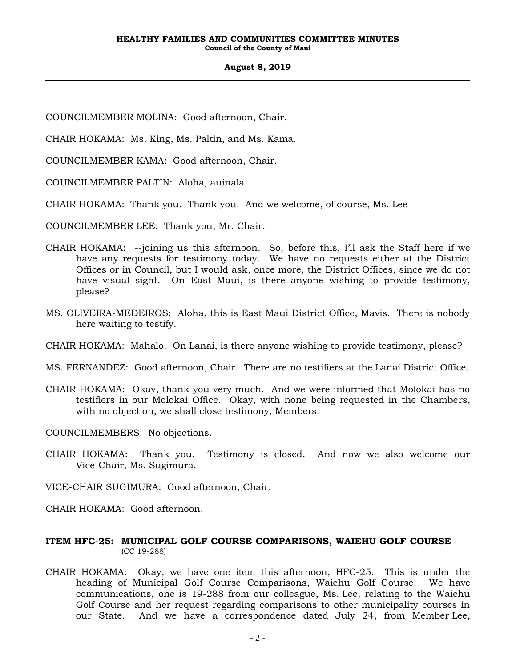- COUNCILMEMBER MOLINA: Good afternoon, Chair.
- CHAIR HOKAMA: Ms. King, Ms. Paltin, and Ms. Kama.
- COUNCILMEMBER KAMA: Good afternoon, Chair.
- COUNCILMEMBER PALTIN: Aloha, auinala.
- CHAIR HOKAMA: Thank you. Thank you. And we welcome, of course, Ms. Lee --
- COUNCILMEMBER LEE: Thank you, Mr. Chair.
- CHAIR HOKAMA: --joining us this afternoon. So, before this, I'll ask the Staff here if we have any requests for testimony today. We have no requests either at the District Offices or in Council, but I would ask, once more, the District Offices, since we do not have visual sight. On East Maui, is there anyone wishing to provide testimony, please?
- MS. OLIVEIRA-MEDEIROS: Aloha, this is East Maui District Office, Mavis. There is nobody here waiting to testify.
- CHAIR HOKAMA: Mahalo. On Lanai, is there anyone wishing to provide testimony, please?
- MS. FERNANDEZ: Good afternoon, Chair. There are no testifiers at the Lanai District Office.
- CHAIR HOKAMA: Okay, thank you very much. And we were informed that Molokai has no testifiers in our Molokai Office. Okay, with none being requested in the Chambers, with no objection, we shall close testimony, Members.
- COUNCILMEMBERS: No objections.
- CHAIR HOKAMA: Thank you. Testimony is closed. And now we also welcome our Vice-Chair, Ms. Sugimura.
- VICE-CHAIR SUGIMURA: Good afternoon, Chair.
- CHAIR HOKAMA: Good afternoon.
- **ITEM HFC-25: MUNICIPAL GOLF COURSE COMPARISONS, WAIEHU GOLF COURSE**  (CC 19-288)
- CHAIR HOKAMA: Okay, we have one item this afternoon, HFC-25. This is under the heading of Municipal Golf Course Comparisons, Waiehu Golf Course. We have communications, one is 19-288 from our colleague, Ms. Lee, relating to the Waiehu Golf Course and her request regarding comparisons to other municipality courses in our State. And we have a correspondence dated July 24, from Member Lee,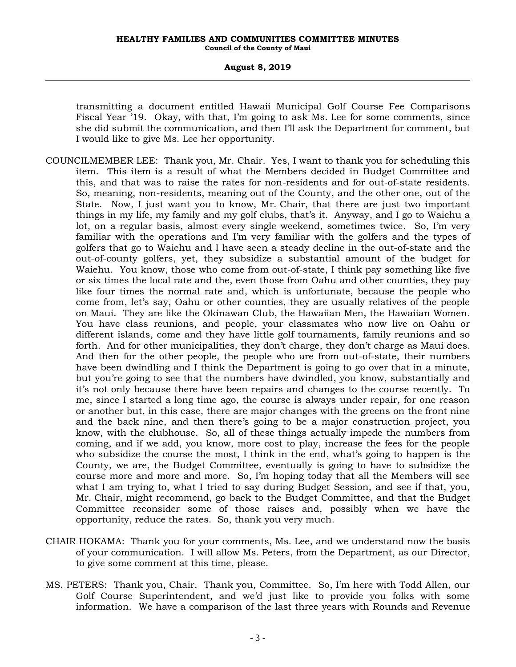transmitting a document entitled Hawaii Municipal Golf Course Fee Comparisons Fiscal Year '19. Okay, with that, I'm going to ask Ms. Lee for some comments, since she did submit the communication, and then I'll ask the Department for comment, but I would like to give Ms. Lee her opportunity.

- COUNCILMEMBER LEE: Thank you, Mr. Chair. Yes, I want to thank you for scheduling this item. This item is a result of what the Members decided in Budget Committee and this, and that was to raise the rates for non-residents and for out-of-state residents. So, meaning, non-residents, meaning out of the County, and the other one, out of the State. Now, I just want you to know, Mr. Chair, that there are just two important things in my life, my family and my golf clubs, that's it. Anyway, and I go to Waiehu a lot, on a regular basis, almost every single weekend, sometimes twice. So, I'm very familiar with the operations and I'm very familiar with the golfers and the types of golfers that go to Waiehu and I have seen a steady decline in the out-of-state and the out-of-county golfers, yet, they subsidize a substantial amount of the budget for Waiehu. You know, those who come from out-of-state, I think pay something like five or six times the local rate and the, even those from Oahu and other counties, they pay like four times the normal rate and, which is unfortunate, because the people who come from, let's say, Oahu or other counties, they are usually relatives of the people on Maui. They are like the Okinawan Club, the Hawaiian Men, the Hawaiian Women. You have class reunions, and people, your classmates who now live on Oahu or different islands, come and they have little golf tournaments, family reunions and so forth. And for other municipalities, they don't charge, they don't charge as Maui does. And then for the other people, the people who are from out-of-state, their numbers have been dwindling and I think the Department is going to go over that in a minute, but you're going to see that the numbers have dwindled, you know, substantially and it's not only because there have been repairs and changes to the course recently. To me, since I started a long time ago, the course is always under repair, for one reason or another but, in this case, there are major changes with the greens on the front nine and the back nine, and then there's going to be a major construction project, you know, with the clubhouse. So, all of these things actually impede the numbers from coming, and if we add, you know, more cost to play, increase the fees for the people who subsidize the course the most, I think in the end, what's going to happen is the County, we are, the Budget Committee, eventually is going to have to subsidize the course more and more and more. So, I'm hoping today that all the Members will see what I am trying to, what I tried to say during Budget Session, and see if that, you, Mr. Chair, might recommend, go back to the Budget Committee, and that the Budget Committee reconsider some of those raises and, possibly when we have the opportunity, reduce the rates. So, thank you very much.
- CHAIR HOKAMA: Thank you for your comments, Ms. Lee, and we understand now the basis of your communication. I will allow Ms. Peters, from the Department, as our Director, to give some comment at this time, please.
- MS. PETERS: Thank you, Chair. Thank you, Committee. So, I'm here with Todd Allen, our Golf Course Superintendent, and we'd just like to provide you folks with some information. We have a comparison of the last three years with Rounds and Revenue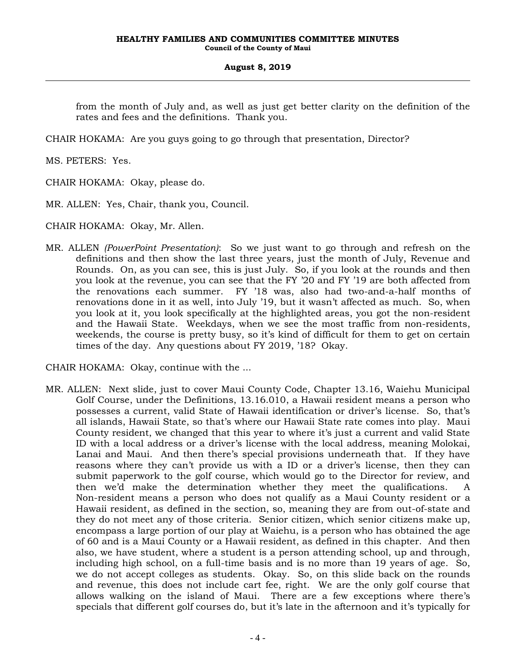from the month of July and, as well as just get better clarity on the definition of the rates and fees and the definitions. Thank you.

CHAIR HOKAMA: Are you guys going to go through that presentation, Director?

MS. PETERS: Yes.

CHAIR HOKAMA: Okay, please do.

MR. ALLEN: Yes, Chair, thank you, Council.

CHAIR HOKAMA: Okay, Mr. Allen.

MR. ALLEN *(PowerPoint Presentation)*: So we just want to go through and refresh on the definitions and then show the last three years, just the month of July, Revenue and Rounds. On, as you can see, this is just July. So, if you look at the rounds and then you look at the revenue, you can see that the FY '20 and FY '19 are both affected from the renovations each summer. FY '18 was, also had two-and-a-half months of renovations done in it as well, into July '19, but it wasn't affected as much. So, when you look at it, you look specifically at the highlighted areas, you got the non-resident and the Hawaii State. Weekdays, when we see the most traffic from non-residents, weekends, the course is pretty busy, so it's kind of difficult for them to get on certain times of the day. Any questions about FY 2019, '18? Okay.

CHAIR HOKAMA: Okay, continue with the ...

MR. ALLEN: Next slide, just to cover Maui County Code, Chapter 13.16, Waiehu Municipal Golf Course, under the Definitions, 13.16.010, a Hawaii resident means a person who possesses a current, valid State of Hawaii identification or driver's license. So, that's all islands, Hawaii State, so that's where our Hawaii State rate comes into play. Maui County resident, we changed that this year to where it's just a current and valid State ID with a local address or a driver's license with the local address, meaning Molokai, Lanai and Maui. And then there's special provisions underneath that. If they have reasons where they can't provide us with a ID or a driver's license, then they can submit paperwork to the golf course, which would go to the Director for review, and then we'd make the determination whether they meet the qualifications. A Non-resident means a person who does not qualify as a Maui County resident or a Hawaii resident, as defined in the section, so, meaning they are from out-of-state and they do not meet any of those criteria. Senior citizen, which senior citizens make up, encompass a large portion of our play at Waiehu, is a person who has obtained the age of 60 and is a Maui County or a Hawaii resident, as defined in this chapter. And then also, we have student, where a student is a person attending school, up and through, including high school, on a full-time basis and is no more than 19 years of age. So, we do not accept colleges as students. Okay. So, on this slide back on the rounds and revenue, this does not include cart fee, right. We are the only golf course that allows walking on the island of Maui. There are a few exceptions where there's specials that different golf courses do, but it's late in the afternoon and it's typically for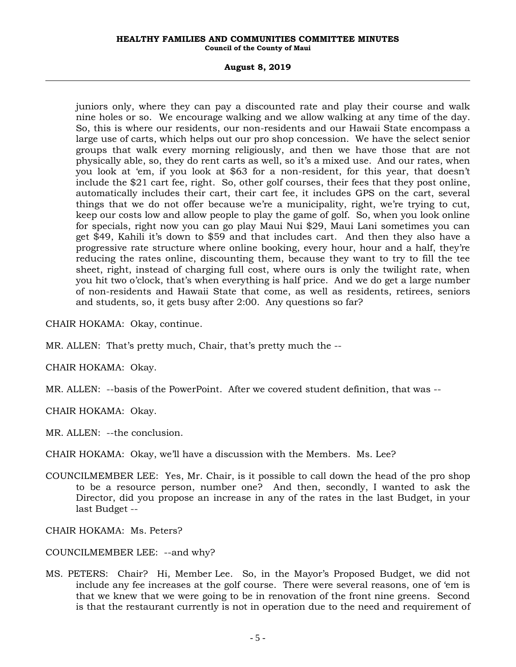#### **HEALTHY FAMILIES AND COMMUNITIES COMMITTEE MINUTES Council of the County of Maui**

#### **August 8, 2019**

juniors only, where they can pay a discounted rate and play their course and walk nine holes or so. We encourage walking and we allow walking at any time of the day. So, this is where our residents, our non-residents and our Hawaii State encompass a large use of carts, which helps out our pro shop concession. We have the select senior groups that walk every morning religiously, and then we have those that are not physically able, so, they do rent carts as well, so it's a mixed use. And our rates, when you look at 'em, if you look at \$63 for a non-resident, for this year, that doesn't include the \$21 cart fee, right. So, other golf courses, their fees that they post online, automatically includes their cart, their cart fee, it includes GPS on the cart, several things that we do not offer because we're a municipality, right, we're trying to cut, keep our costs low and allow people to play the game of golf. So, when you look online for specials, right now you can go play Maui Nui \$29, Maui Lani sometimes you can get \$49, Kahili it's down to \$59 and that includes cart. And then they also have a progressive rate structure where online booking, every hour, hour and a half, they're reducing the rates online, discounting them, because they want to try to fill the tee sheet, right, instead of charging full cost, where ours is only the twilight rate, when you hit two o'clock, that's when everything is half price. And we do get a large number of non-residents and Hawaii State that come, as well as residents, retirees, seniors and students, so, it gets busy after 2:00. Any questions so far?

CHAIR HOKAMA: Okay, continue.

MR. ALLEN: That's pretty much, Chair, that's pretty much the --

CHAIR HOKAMA: Okay.

MR. ALLEN: --basis of the PowerPoint. After we covered student definition, that was --

CHAIR HOKAMA: Okay.

MR. ALLEN: --the conclusion.

CHAIR HOKAMA: Okay, we'll have a discussion with the Members. Ms. Lee?

COUNCILMEMBER LEE: Yes, Mr. Chair, is it possible to call down the head of the pro shop to be a resource person, number one? And then, secondly, I wanted to ask the Director, did you propose an increase in any of the rates in the last Budget, in your last Budget --

CHAIR HOKAMA: Ms. Peters?

- COUNCILMEMBER LEE: --and why?
- MS. PETERS: Chair? Hi, Member Lee. So, in the Mayor's Proposed Budget, we did not include any fee increases at the golf course. There were several reasons, one of 'em is that we knew that we were going to be in renovation of the front nine greens. Second is that the restaurant currently is not in operation due to the need and requirement of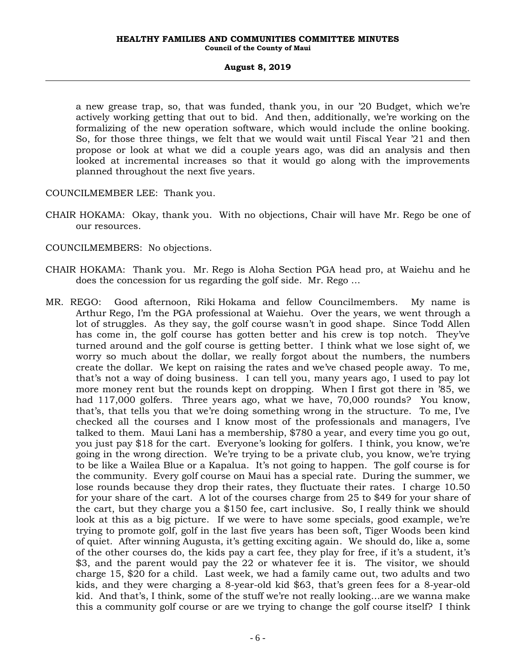a new grease trap, so, that was funded, thank you, in our '20 Budget, which we're actively working getting that out to bid. And then, additionally, we're working on the formalizing of the new operation software, which would include the online booking. So, for those three things, we felt that we would wait until Fiscal Year '21 and then propose or look at what we did a couple years ago, was did an analysis and then looked at incremental increases so that it would go along with the improvements planned throughout the next five years.

COUNCILMEMBER LEE: Thank you.

- CHAIR HOKAMA: Okay, thank you. With no objections, Chair will have Mr. Rego be one of our resources.
- COUNCILMEMBERS: No objections.
- CHAIR HOKAMA: Thank you. Mr. Rego is Aloha Section PGA head pro, at Waiehu and he does the concession for us regarding the golf side. Mr. Rego …
- MR. REGO: Good afternoon, Riki Hokama and fellow Councilmembers. My name is Arthur Rego, I'm the PGA professional at Waiehu. Over the years, we went through a lot of struggles. As they say, the golf course wasn't in good shape. Since Todd Allen has come in, the golf course has gotten better and his crew is top notch. They've turned around and the golf course is getting better. I think what we lose sight of, we worry so much about the dollar, we really forgot about the numbers, the numbers create the dollar. We kept on raising the rates and we've chased people away. To me, that's not a way of doing business. I can tell you, many years ago, I used to pay lot more money rent but the rounds kept on dropping. When I first got there in '85, we had 117,000 golfers. Three years ago, what we have, 70,000 rounds? You know, that's, that tells you that we're doing something wrong in the structure. To me, I've checked all the courses and I know most of the professionals and managers, I've talked to them. Maui Lani has a membership, \$780 a year, and every time you go out, you just pay \$18 for the cart. Everyone's looking for golfers. I think, you know, we're going in the wrong direction. We're trying to be a private club, you know, we're trying to be like a Wailea Blue or a Kapalua. It's not going to happen. The golf course is for the community. Every golf course on Maui has a special rate. During the summer, we lose rounds because they drop their rates, they fluctuate their rates. I charge 10.50 for your share of the cart. A lot of the courses charge from 25 to \$49 for your share of the cart, but they charge you a \$150 fee, cart inclusive. So, I really think we should look at this as a big picture. If we were to have some specials, good example, we're trying to promote golf, golf in the last five years has been soft, Tiger Woods been kind of quiet. After winning Augusta, it's getting exciting again. We should do, like a, some of the other courses do, the kids pay a cart fee, they play for free, if it's a student, it's \$3, and the parent would pay the 22 or whatever fee it is. The visitor, we should charge 15, \$20 for a child. Last week, we had a family came out, two adults and two kids, and they were charging a 8-year-old kid \$63, that's green fees for a 8-year-old kid. And that's, I think, some of the stuff we're not really looking…are we wanna make this a community golf course or are we trying to change the golf course itself? I think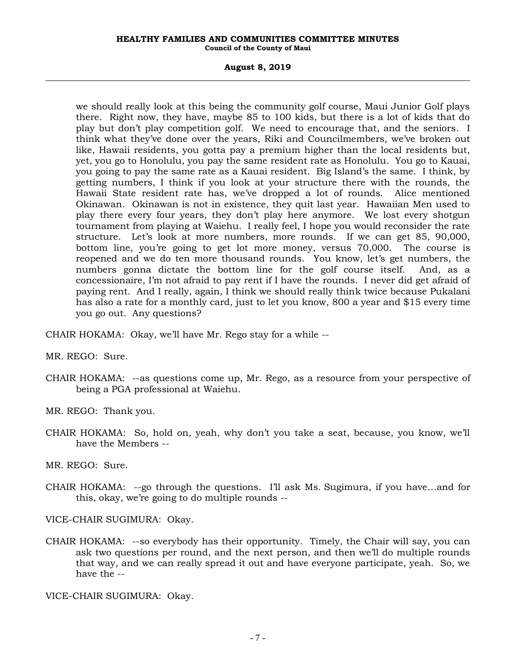#### **HEALTHY FAMILIES AND COMMUNITIES COMMITTEE MINUTES Council of the County of Maui**

#### **August 8, 2019**

we should really look at this being the community golf course, Maui Junior Golf plays there. Right now, they have, maybe 85 to 100 kids, but there is a lot of kids that do play but don't play competition golf. We need to encourage that, and the seniors. I think what they've done over the years, Riki and Councilmembers, we've broken out like, Hawaii residents, you gotta pay a premium higher than the local residents but, yet, you go to Honolulu, you pay the same resident rate as Honolulu. You go to Kauai, you going to pay the same rate as a Kauai resident. Big Island's the same. I think, by getting numbers, I think if you look at your structure there with the rounds, the Hawaii State resident rate has, we've dropped a lot of rounds. Alice mentioned Okinawan. Okinawan is not in existence, they quit last year. Hawaiian Men used to play there every four years, they don't play here anymore. We lost every shotgun tournament from playing at Waiehu. I really feel, I hope you would reconsider the rate structure. Let's look at more numbers, more rounds. If we can get 85, 90,000, bottom line, you're going to get lot more money, versus 70,000. The course is reopened and we do ten more thousand rounds. You know, let's get numbers, the numbers gonna dictate the bottom line for the golf course itself. And, as a concessionaire, I'm not afraid to pay rent if I have the rounds. I never did get afraid of paying rent. And I really, again, I think we should really think twice because Pukalani has also a rate for a monthly card, just to let you know, 800 a year and \$15 every time you go out. Any questions?

CHAIR HOKAMA: Okay, we'll have Mr. Rego stay for a while --

MR. REGO: Sure.

CHAIR HOKAMA: --as questions come up, Mr. Rego, as a resource from your perspective of being a PGA professional at Waiehu.

MR. REGO: Thank you.

CHAIR HOKAMA: So, hold on, yeah, why don't you take a seat, because, you know, we'll have the Members --

MR. REGO: Sure.

CHAIR HOKAMA: --go through the questions. I'll ask Ms. Sugimura, if you have…and for this, okay, we're going to do multiple rounds --

VICE-CHAIR SUGIMURA: Okay.

CHAIR HOKAMA: --so everybody has their opportunity. Timely, the Chair will say, you can ask two questions per round, and the next person, and then we'll do multiple rounds that way, and we can really spread it out and have everyone participate, yeah. So, we have the --

VICE-CHAIR SUGIMURA: Okay.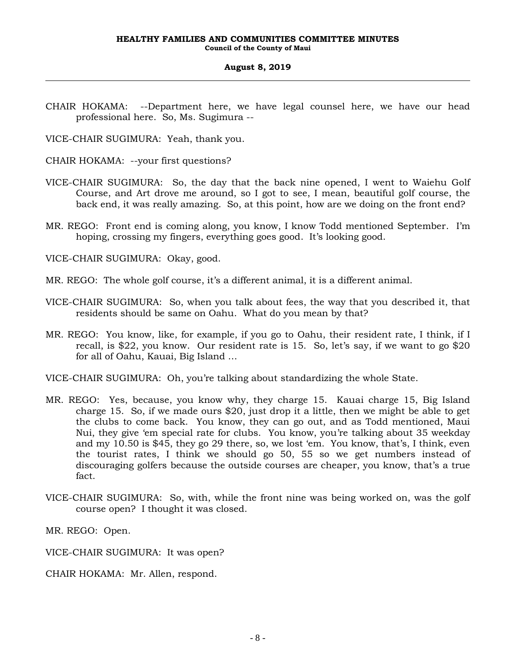CHAIR HOKAMA: --Department here, we have legal counsel here, we have our head professional here. So, Ms. Sugimura --

VICE-CHAIR SUGIMURA: Yeah, thank you.

CHAIR HOKAMA: --your first questions?

- VICE-CHAIR SUGIMURA: So, the day that the back nine opened, I went to Waiehu Golf Course, and Art drove me around, so I got to see, I mean, beautiful golf course, the back end, it was really amazing. So, at this point, how are we doing on the front end?
- MR. REGO: Front end is coming along, you know, I know Todd mentioned September. I'm hoping, crossing my fingers, everything goes good. It's looking good.

VICE-CHAIR SUGIMURA: Okay, good.

- MR. REGO: The whole golf course, it's a different animal, it is a different animal.
- VICE-CHAIR SUGIMURA: So, when you talk about fees, the way that you described it, that residents should be same on Oahu. What do you mean by that?
- MR. REGO: You know, like, for example, if you go to Oahu, their resident rate, I think, if I recall, is \$22, you know. Our resident rate is 15. So, let's say, if we want to go \$20 for all of Oahu, Kauai, Big Island …

VICE-CHAIR SUGIMURA: Oh, you're talking about standardizing the whole State.

- MR. REGO: Yes, because, you know why, they charge 15. Kauai charge 15, Big Island charge 15. So, if we made ours \$20, just drop it a little, then we might be able to get the clubs to come back. You know, they can go out, and as Todd mentioned, Maui Nui, they give 'em special rate for clubs. You know, you're talking about 35 weekday and my 10.50 is \$45, they go 29 there, so, we lost 'em. You know, that's, I think, even the tourist rates, I think we should go 50, 55 so we get numbers instead of discouraging golfers because the outside courses are cheaper, you know, that's a true fact.
- VICE-CHAIR SUGIMURA: So, with, while the front nine was being worked on, was the golf course open? I thought it was closed.

MR. REGO: Open.

- VICE-CHAIR SUGIMURA: It was open?
- CHAIR HOKAMA: Mr. Allen, respond.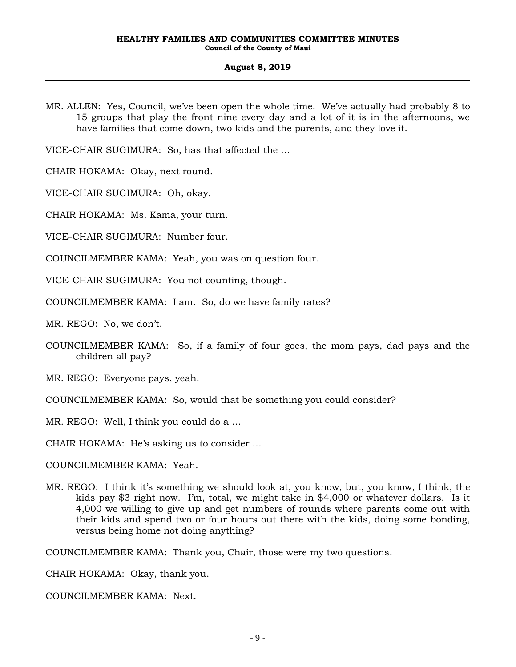MR. ALLEN: Yes, Council, we've been open the whole time. We've actually had probably 8 to 15 groups that play the front nine every day and a lot of it is in the afternoons, we have families that come down, two kids and the parents, and they love it.

VICE-CHAIR SUGIMURA: So, has that affected the …

CHAIR HOKAMA: Okay, next round.

VICE-CHAIR SUGIMURA: Oh, okay.

CHAIR HOKAMA: Ms. Kama, your turn.

VICE-CHAIR SUGIMURA: Number four.

COUNCILMEMBER KAMA: Yeah, you was on question four.

VICE-CHAIR SUGIMURA: You not counting, though.

COUNCILMEMBER KAMA: I am. So, do we have family rates?

MR. REGO: No, we don't.

- COUNCILMEMBER KAMA: So, if a family of four goes, the mom pays, dad pays and the children all pay?
- MR. REGO: Everyone pays, yeah.
- COUNCILMEMBER KAMA: So, would that be something you could consider?
- MR. REGO: Well, I think you could do a …

CHAIR HOKAMA: He's asking us to consider …

COUNCILMEMBER KAMA: Yeah.

MR. REGO: I think it's something we should look at, you know, but, you know, I think, the kids pay \$3 right now. I'm, total, we might take in \$4,000 or whatever dollars. Is it 4,000 we willing to give up and get numbers of rounds where parents come out with their kids and spend two or four hours out there with the kids, doing some bonding, versus being home not doing anything?

COUNCILMEMBER KAMA: Thank you, Chair, those were my two questions.

CHAIR HOKAMA: Okay, thank you.

COUNCILMEMBER KAMA: Next.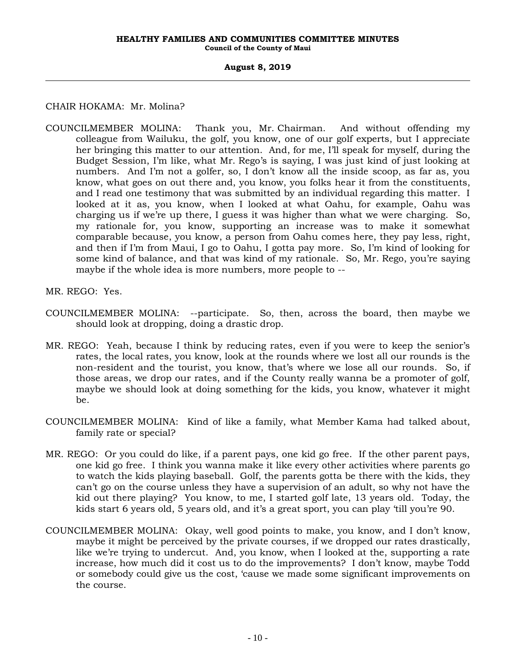# CHAIR HOKAMA: Mr. Molina?

- COUNCILMEMBER MOLINA: Thank you, Mr. Chairman. And without offending my colleague from Wailuku, the golf, you know, one of our golf experts, but I appreciate her bringing this matter to our attention. And, for me, I'll speak for myself, during the Budget Session, I'm like, what Mr. Rego's is saying, I was just kind of just looking at numbers. And I'm not a golfer, so, I don't know all the inside scoop, as far as, you know, what goes on out there and, you know, you folks hear it from the constituents, and I read one testimony that was submitted by an individual regarding this matter. I looked at it as, you know, when I looked at what Oahu, for example, Oahu was charging us if we're up there, I guess it was higher than what we were charging. So, my rationale for, you know, supporting an increase was to make it somewhat comparable because, you know, a person from Oahu comes here, they pay less, right, and then if I'm from Maui, I go to Oahu, I gotta pay more. So, I'm kind of looking for some kind of balance, and that was kind of my rationale. So, Mr. Rego, you're saying maybe if the whole idea is more numbers, more people to --
- MR. REGO: Yes.
- COUNCILMEMBER MOLINA: --participate. So, then, across the board, then maybe we should look at dropping, doing a drastic drop.
- MR. REGO: Yeah, because I think by reducing rates, even if you were to keep the senior's rates, the local rates, you know, look at the rounds where we lost all our rounds is the non-resident and the tourist, you know, that's where we lose all our rounds. So, if those areas, we drop our rates, and if the County really wanna be a promoter of golf, maybe we should look at doing something for the kids, you know, whatever it might be.
- COUNCILMEMBER MOLINA: Kind of like a family, what Member Kama had talked about, family rate or special?
- MR. REGO: Or you could do like, if a parent pays, one kid go free. If the other parent pays, one kid go free. I think you wanna make it like every other activities where parents go to watch the kids playing baseball. Golf, the parents gotta be there with the kids, they can't go on the course unless they have a supervision of an adult, so why not have the kid out there playing? You know, to me, I started golf late, 13 years old. Today, the kids start 6 years old, 5 years old, and it's a great sport, you can play 'till you're 90.
- COUNCILMEMBER MOLINA: Okay, well good points to make, you know, and I don't know, maybe it might be perceived by the private courses, if we dropped our rates drastically, like we're trying to undercut. And, you know, when I looked at the, supporting a rate increase, how much did it cost us to do the improvements? I don't know, maybe Todd or somebody could give us the cost, 'cause we made some significant improvements on the course.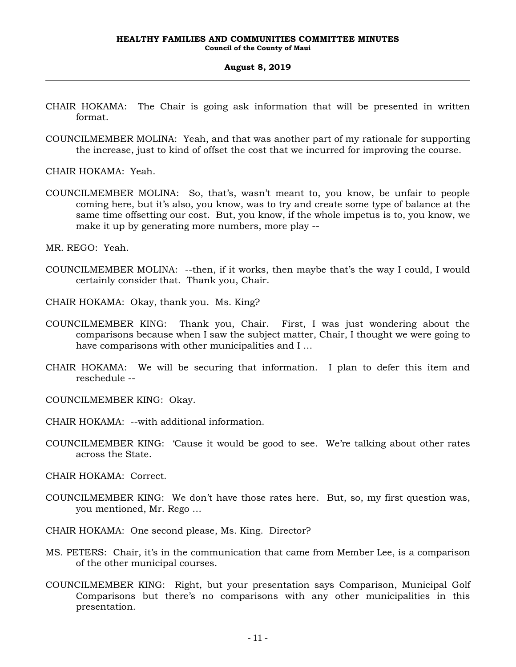- CHAIR HOKAMA: The Chair is going ask information that will be presented in written format.
- COUNCILMEMBER MOLINA: Yeah, and that was another part of my rationale for supporting the increase, just to kind of offset the cost that we incurred for improving the course.

CHAIR HOKAMA: Yeah.

COUNCILMEMBER MOLINA: So, that's, wasn't meant to, you know, be unfair to people coming here, but it's also, you know, was to try and create some type of balance at the same time offsetting our cost. But, you know, if the whole impetus is to, you know, we make it up by generating more numbers, more play --

MR. REGO: Yeah.

- COUNCILMEMBER MOLINA: --then, if it works, then maybe that's the way I could, I would certainly consider that. Thank you, Chair.
- CHAIR HOKAMA: Okay, thank you. Ms. King?
- COUNCILMEMBER KING: Thank you, Chair. First, I was just wondering about the comparisons because when I saw the subject matter, Chair, I thought we were going to have comparisons with other municipalities and I …
- CHAIR HOKAMA: We will be securing that information. I plan to defer this item and reschedule --

COUNCILMEMBER KING: Okay.

- CHAIR HOKAMA: --with additional information.
- COUNCILMEMBER KING: 'Cause it would be good to see. We're talking about other rates across the State.

CHAIR HOKAMA: Correct.

- COUNCILMEMBER KING: We don't have those rates here. But, so, my first question was, you mentioned, Mr. Rego …
- CHAIR HOKAMA: One second please, Ms. King. Director?
- MS. PETERS: Chair, it's in the communication that came from Member Lee, is a comparison of the other municipal courses.
- COUNCILMEMBER KING: Right, but your presentation says Comparison, Municipal Golf Comparisons but there's no comparisons with any other municipalities in this presentation.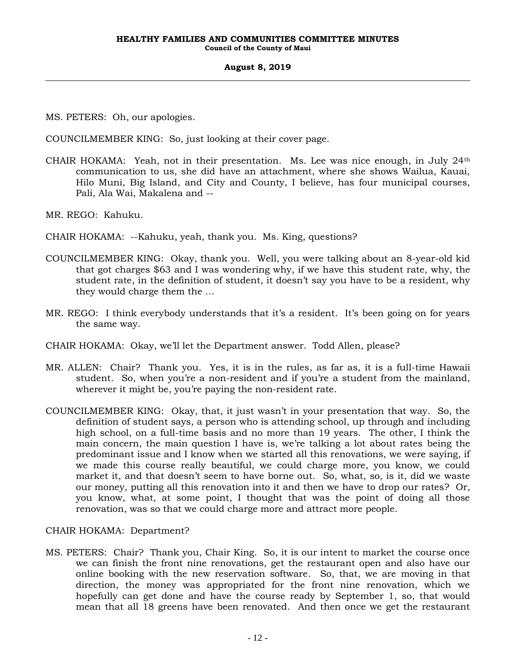MS. PETERS: Oh, our apologies.

COUNCILMEMBER KING: So, just looking at their cover page.

CHAIR HOKAMA: Yeah, not in their presentation. Ms. Lee was nice enough, in July  $24<sup>th</sup>$ communication to us, she did have an attachment, where she shows Wailua, Kauai, Hilo Muni, Big Island, and City and County, I believe, has four municipal courses, Pali, Ala Wai, Makalena and --

MR. REGO: Kahuku.

- CHAIR HOKAMA: --Kahuku, yeah, thank you. Ms. King, questions?
- COUNCILMEMBER KING: Okay, thank you. Well, you were talking about an 8-year-old kid that got charges \$63 and I was wondering why, if we have this student rate, why, the student rate, in the definition of student, it doesn't say you have to be a resident, why they would charge them the …
- MR. REGO: I think everybody understands that it's a resident. It's been going on for years the same way.
- CHAIR HOKAMA: Okay, we'll let the Department answer. Todd Allen, please?
- MR. ALLEN: Chair? Thank you. Yes, it is in the rules, as far as, it is a full-time Hawaii student. So, when you're a non-resident and if you're a student from the mainland, wherever it might be, you're paying the non-resident rate.
- COUNCILMEMBER KING: Okay, that, it just wasn't in your presentation that way. So, the definition of student says, a person who is attending school, up through and including high school, on a full-time basis and no more than 19 years. The other, I think the main concern, the main question I have is, we're talking a lot about rates being the predominant issue and I know when we started all this renovations, we were saying, if we made this course really beautiful, we could charge more, you know, we could market it, and that doesn't seem to have borne out. So, what, so, is it, did we waste our money, putting all this renovation into it and then we have to drop our rates? Or, you know, what, at some point, I thought that was the point of doing all those renovation, was so that we could charge more and attract more people.

CHAIR HOKAMA: Department?

MS. PETERS: Chair? Thank you, Chair King. So, it is our intent to market the course once we can finish the front nine renovations, get the restaurant open and also have our online booking with the new reservation software. So, that, we are moving in that direction, the money was appropriated for the front nine renovation, which we hopefully can get done and have the course ready by September 1, so, that would mean that all 18 greens have been renovated. And then once we get the restaurant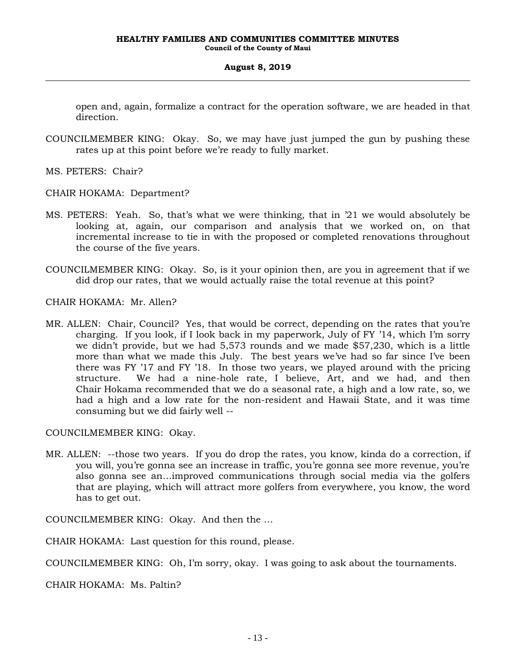open and, again, formalize a contract for the operation software, we are headed in that direction.

- COUNCILMEMBER KING: Okay. So, we may have just jumped the gun by pushing these rates up at this point before we're ready to fully market.
- MS. PETERS: Chair?
- CHAIR HOKAMA: Department?
- MS. PETERS: Yeah. So, that's what we were thinking, that in '21 we would absolutely be looking at, again, our comparison and analysis that we worked on, on that incremental increase to tie in with the proposed or completed renovations throughout the course of the five years.
- COUNCILMEMBER KING: Okay. So, is it your opinion then, are you in agreement that if we did drop our rates, that we would actually raise the total revenue at this point?

CHAIR HOKAMA: Mr. Allen?

MR. ALLEN: Chair, Council? Yes, that would be correct, depending on the rates that you're charging. If you look, if I look back in my paperwork, July of FY '14, which I'm sorry we didn't provide, but we had 5,573 rounds and we made \$57,230, which is a little more than what we made this July. The best years we've had so far since I've been there was FY '17 and FY '18. In those two years, we played around with the pricing structure. We had a nine-hole rate, I believe, Art, and we had, and then Chair Hokama recommended that we do a seasonal rate, a high and a low rate, so, we had a high and a low rate for the non-resident and Hawaii State, and it was time consuming but we did fairly well --

#### COUNCILMEMBER KING: Okay.

MR. ALLEN: --those two years. If you do drop the rates, you know, kinda do a correction, if you will, you're gonna see an increase in traffic, you're gonna see more revenue, you're also gonna see an…improved communications through social media via the golfers that are playing, which will attract more golfers from everywhere, you know, the word has to get out.

COUNCILMEMBER KING: Okay. And then the …

CHAIR HOKAMA: Last question for this round, please.

COUNCILMEMBER KING: Oh, I'm sorry, okay. I was going to ask about the tournaments.

CHAIR HOKAMA: Ms. Paltin?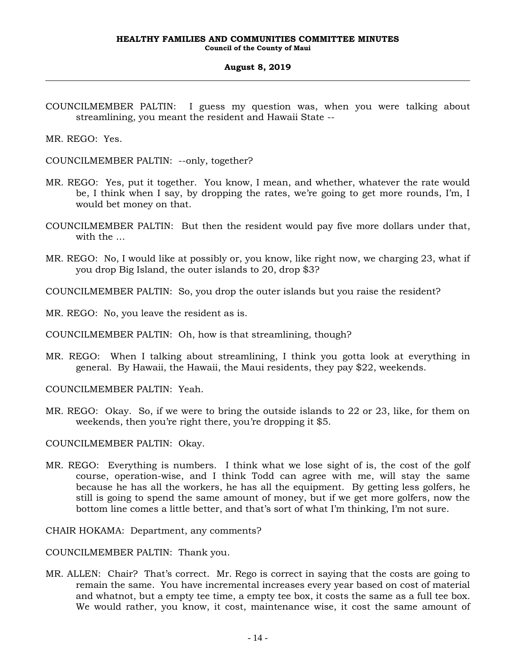COUNCILMEMBER PALTIN: I guess my question was, when you were talking about streamlining, you meant the resident and Hawaii State --

MR. REGO: Yes.

COUNCILMEMBER PALTIN: --only, together?

- MR. REGO: Yes, put it together. You know, I mean, and whether, whatever the rate would be, I think when I say, by dropping the rates, we're going to get more rounds, I'm, I would bet money on that.
- COUNCILMEMBER PALTIN: But then the resident would pay five more dollars under that, with the …
- MR. REGO: No, I would like at possibly or, you know, like right now, we charging 23, what if you drop Big Island, the outer islands to 20, drop \$3?

COUNCILMEMBER PALTIN: So, you drop the outer islands but you raise the resident?

MR. REGO: No, you leave the resident as is.

COUNCILMEMBER PALTIN: Oh, how is that streamlining, though?

MR. REGO: When I talking about streamlining, I think you gotta look at everything in general. By Hawaii, the Hawaii, the Maui residents, they pay \$22, weekends.

COUNCILMEMBER PALTIN: Yeah.

MR. REGO: Okay. So, if we were to bring the outside islands to 22 or 23, like, for them on weekends, then you're right there, you're dropping it \$5.

COUNCILMEMBER PALTIN: Okay.

MR. REGO: Everything is numbers. I think what we lose sight of is, the cost of the golf course, operation-wise, and I think Todd can agree with me, will stay the same because he has all the workers, he has all the equipment. By getting less golfers, he still is going to spend the same amount of money, but if we get more golfers, now the bottom line comes a little better, and that's sort of what I'm thinking, I'm not sure.

CHAIR HOKAMA: Department, any comments?

COUNCILMEMBER PALTIN: Thank you.

MR. ALLEN: Chair? That's correct. Mr. Rego is correct in saying that the costs are going to remain the same. You have incremental increases every year based on cost of material and whatnot, but a empty tee time, a empty tee box, it costs the same as a full tee box. We would rather, you know, it cost, maintenance wise, it cost the same amount of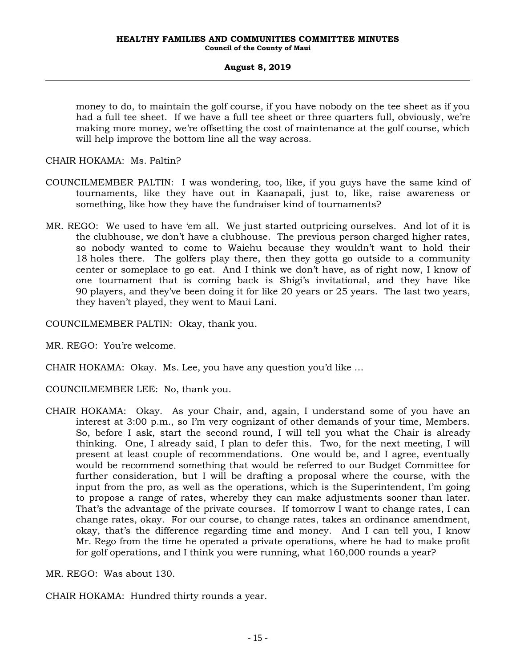money to do, to maintain the golf course, if you have nobody on the tee sheet as if you had a full tee sheet. If we have a full tee sheet or three quarters full, obviously, we're making more money, we're offsetting the cost of maintenance at the golf course, which will help improve the bottom line all the way across.

CHAIR HOKAMA: Ms. Paltin?

- COUNCILMEMBER PALTIN: I was wondering, too, like, if you guys have the same kind of tournaments, like they have out in Kaanapali, just to, like, raise awareness or something, like how they have the fundraiser kind of tournaments?
- MR. REGO: We used to have 'em all. We just started outpricing ourselves. And lot of it is the clubhouse, we don't have a clubhouse. The previous person charged higher rates, so nobody wanted to come to Waiehu because they wouldn't want to hold their 18 holes there. The golfers play there, then they gotta go outside to a community center or someplace to go eat. And I think we don't have, as of right now, I know of one tournament that is coming back is Shigi's invitational, and they have like 90 players, and they've been doing it for like 20 years or 25 years. The last two years, they haven't played, they went to Maui Lani.
- COUNCILMEMBER PALTIN: Okay, thank you.
- MR. REGO: You're welcome.
- CHAIR HOKAMA: Okay. Ms. Lee, you have any question you'd like …
- COUNCILMEMBER LEE: No, thank you.
- CHAIR HOKAMA: Okay. As your Chair, and, again, I understand some of you have an interest at 3:00 p.m., so I'm very cognizant of other demands of your time, Members. So, before I ask, start the second round, I will tell you what the Chair is already thinking. One, I already said, I plan to defer this. Two, for the next meeting, I will present at least couple of recommendations. One would be, and I agree, eventually would be recommend something that would be referred to our Budget Committee for further consideration, but I will be drafting a proposal where the course, with the input from the pro, as well as the operations, which is the Superintendent, I'm going to propose a range of rates, whereby they can make adjustments sooner than later. That's the advantage of the private courses. If tomorrow I want to change rates, I can change rates, okay. For our course, to change rates, takes an ordinance amendment, okay, that's the difference regarding time and money. And I can tell you, I know Mr. Rego from the time he operated a private operations, where he had to make profit for golf operations, and I think you were running, what 160,000 rounds a year?

MR. REGO: Was about 130.

CHAIR HOKAMA: Hundred thirty rounds a year.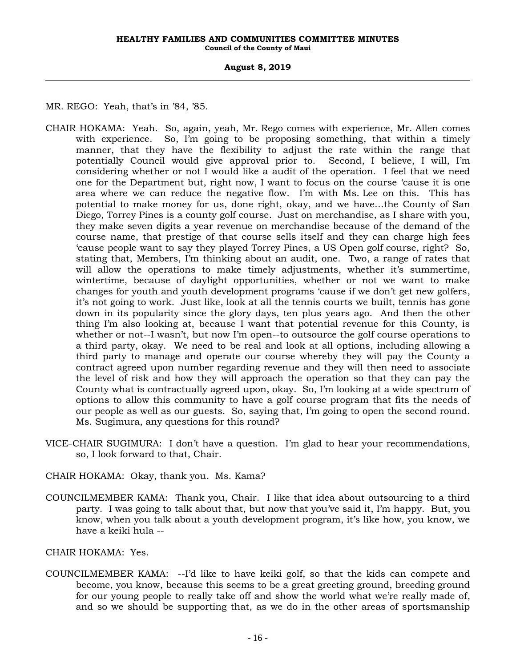MR. REGO: Yeah, that's in '84, '85.

- CHAIR HOKAMA: Yeah. So, again, yeah, Mr. Rego comes with experience, Mr. Allen comes with experience. So, I'm going to be proposing something, that within a timely manner, that they have the flexibility to adjust the rate within the range that potentially Council would give approval prior to. Second, I believe, I will, I'm considering whether or not I would like a audit of the operation. I feel that we need one for the Department but, right now, I want to focus on the course 'cause it is one area where we can reduce the negative flow. I'm with Ms. Lee on this. This has potential to make money for us, done right, okay, and we have…the County of San Diego, Torrey Pines is a county golf course. Just on merchandise, as I share with you, they make seven digits a year revenue on merchandise because of the demand of the course name, that prestige of that course sells itself and they can charge high fees 'cause people want to say they played Torrey Pines, a US Open golf course, right? So, stating that, Members, I'm thinking about an audit, one. Two, a range of rates that will allow the operations to make timely adjustments, whether it's summertime, wintertime, because of daylight opportunities, whether or not we want to make changes for youth and youth development programs 'cause if we don't get new golfers, it's not going to work. Just like, look at all the tennis courts we built, tennis has gone down in its popularity since the glory days, ten plus years ago. And then the other thing I'm also looking at, because I want that potential revenue for this County, is whether or not--I wasn't, but now I'm open--to outsource the golf course operations to a third party, okay. We need to be real and look at all options, including allowing a third party to manage and operate our course whereby they will pay the County a contract agreed upon number regarding revenue and they will then need to associate the level of risk and how they will approach the operation so that they can pay the County what is contractually agreed upon, okay. So, I'm looking at a wide spectrum of options to allow this community to have a golf course program that fits the needs of our people as well as our guests. So, saying that, I'm going to open the second round. Ms. Sugimura, any questions for this round?
- VICE-CHAIR SUGIMURA: I don't have a question. I'm glad to hear your recommendations, so, I look forward to that, Chair.
- CHAIR HOKAMA: Okay, thank you. Ms. Kama?
- COUNCILMEMBER KAMA: Thank you, Chair. I like that idea about outsourcing to a third party. I was going to talk about that, but now that you've said it, I'm happy. But, you know, when you talk about a youth development program, it's like how, you know, we have a keiki hula --

CHAIR HOKAMA: Yes.

COUNCILMEMBER KAMA: --I'd like to have keiki golf, so that the kids can compete and become, you know, because this seems to be a great greeting ground, breeding ground for our young people to really take off and show the world what we're really made of, and so we should be supporting that, as we do in the other areas of sportsmanship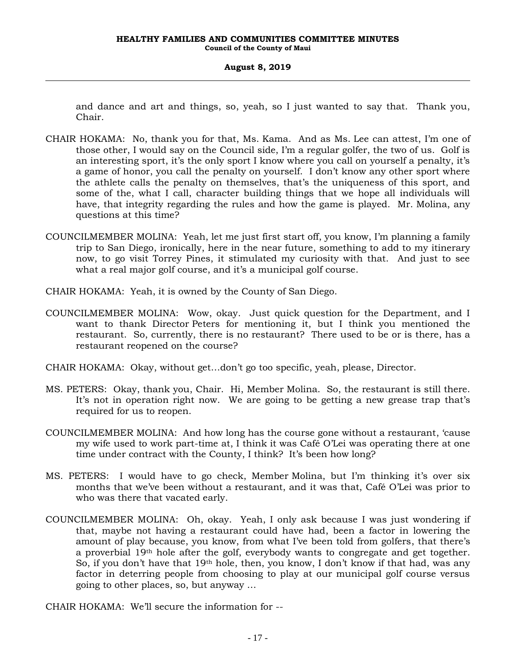and dance and art and things, so, yeah, so I just wanted to say that. Thank you, Chair.

- CHAIR HOKAMA: No, thank you for that, Ms. Kama. And as Ms. Lee can attest, I'm one of those other, I would say on the Council side, I'm a regular golfer, the two of us. Golf is an interesting sport, it's the only sport I know where you call on yourself a penalty, it's a game of honor, you call the penalty on yourself. I don't know any other sport where the athlete calls the penalty on themselves, that's the uniqueness of this sport, and some of the, what I call, character building things that we hope all individuals will have, that integrity regarding the rules and how the game is played. Mr. Molina, any questions at this time?
- COUNCILMEMBER MOLINA: Yeah, let me just first start off, you know, I'm planning a family trip to San Diego, ironically, here in the near future, something to add to my itinerary now, to go visit Torrey Pines, it stimulated my curiosity with that. And just to see what a real major golf course, and it's a municipal golf course.
- CHAIR HOKAMA: Yeah, it is owned by the County of San Diego.
- COUNCILMEMBER MOLINA: Wow, okay. Just quick question for the Department, and I want to thank Director Peters for mentioning it, but I think you mentioned the restaurant. So, currently, there is no restaurant? There used to be or is there, has a restaurant reopened on the course?
- CHAIR HOKAMA: Okay, without get…don't go too specific, yeah, please, Director.
- MS. PETERS: Okay, thank you, Chair. Hi, Member Molina. So, the restaurant is still there. It's not in operation right now. We are going to be getting a new grease trap that's required for us to reopen.
- COUNCILMEMBER MOLINA: And how long has the course gone without a restaurant, 'cause my wife used to work part-time at, I think it was Café O'Lei was operating there at one time under contract with the County, I think? It's been how long?
- MS. PETERS: I would have to go check, Member Molina, but I'm thinking it's over six months that we've been without a restaurant, and it was that, Café O'Lei was prior to who was there that vacated early.
- COUNCILMEMBER MOLINA: Oh, okay. Yeah, I only ask because I was just wondering if that, maybe not having a restaurant could have had, been a factor in lowering the amount of play because, you know, from what I've been told from golfers, that there's a proverbial 19th hole after the golf, everybody wants to congregate and get together. So, if you don't have that 19th hole, then, you know, I don't know if that had, was any factor in deterring people from choosing to play at our municipal golf course versus going to other places, so, but anyway …

CHAIR HOKAMA: We'll secure the information for --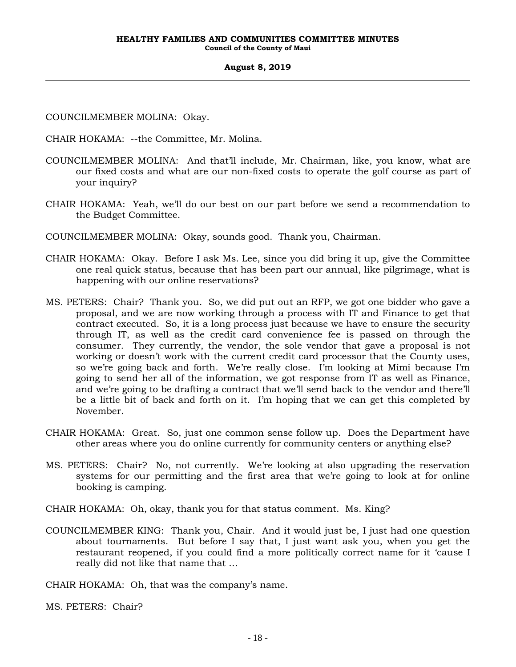COUNCILMEMBER MOLINA: Okay.

CHAIR HOKAMA: --the Committee, Mr. Molina.

- COUNCILMEMBER MOLINA: And that'll include, Mr. Chairman, like, you know, what are our fixed costs and what are our non-fixed costs to operate the golf course as part of your inquiry?
- CHAIR HOKAMA: Yeah, we'll do our best on our part before we send a recommendation to the Budget Committee.
- COUNCILMEMBER MOLINA: Okay, sounds good. Thank you, Chairman.
- CHAIR HOKAMA: Okay. Before I ask Ms. Lee, since you did bring it up, give the Committee one real quick status, because that has been part our annual, like pilgrimage, what is happening with our online reservations?
- MS. PETERS: Chair? Thank you. So, we did put out an RFP, we got one bidder who gave a proposal, and we are now working through a process with IT and Finance to get that contract executed. So, it is a long process just because we have to ensure the security through IT, as well as the credit card convenience fee is passed on through the consumer. They currently, the vendor, the sole vendor that gave a proposal is not working or doesn't work with the current credit card processor that the County uses, so we're going back and forth. We're really close. I'm looking at Mimi because I'm going to send her all of the information, we got response from IT as well as Finance, and we're going to be drafting a contract that we'll send back to the vendor and there'll be a little bit of back and forth on it. I'm hoping that we can get this completed by November.
- CHAIR HOKAMA: Great. So, just one common sense follow up. Does the Department have other areas where you do online currently for community centers or anything else?
- MS. PETERS: Chair? No, not currently. We're looking at also upgrading the reservation systems for our permitting and the first area that we're going to look at for online booking is camping.
- CHAIR HOKAMA: Oh, okay, thank you for that status comment. Ms. King?
- COUNCILMEMBER KING: Thank you, Chair. And it would just be, I just had one question about tournaments. But before I say that, I just want ask you, when you get the restaurant reopened, if you could find a more politically correct name for it 'cause I really did not like that name that …

CHAIR HOKAMA: Oh, that was the company's name.

MS. PETERS: Chair?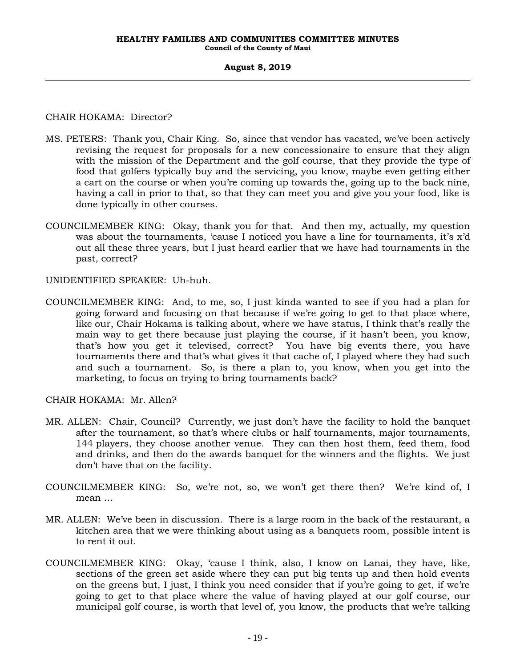### CHAIR HOKAMA: Director?

- MS. PETERS: Thank you, Chair King. So, since that vendor has vacated, we've been actively revising the request for proposals for a new concessionaire to ensure that they align with the mission of the Department and the golf course, that they provide the type of food that golfers typically buy and the servicing, you know, maybe even getting either a cart on the course or when you're coming up towards the, going up to the back nine, having a call in prior to that, so that they can meet you and give you your food, like is done typically in other courses.
- COUNCILMEMBER KING: Okay, thank you for that. And then my, actually, my question was about the tournaments, 'cause I noticed you have a line for tournaments, it's x'd out all these three years, but I just heard earlier that we have had tournaments in the past, correct?

UNIDENTIFIED SPEAKER: Uh-huh.

COUNCILMEMBER KING: And, to me, so, I just kinda wanted to see if you had a plan for going forward and focusing on that because if we're going to get to that place where, like our, Chair Hokama is talking about, where we have status, I think that's really the main way to get there because just playing the course, if it hasn't been, you know, that's how you get it televised, correct? You have big events there, you have tournaments there and that's what gives it that cache of, I played where they had such and such a tournament. So, is there a plan to, you know, when you get into the marketing, to focus on trying to bring tournaments back?

CHAIR HOKAMA: Mr. Allen?

- MR. ALLEN: Chair, Council? Currently, we just don't have the facility to hold the banquet after the tournament, so that's where clubs or half tournaments, major tournaments, 144 players, they choose another venue. They can then host them, feed them, food and drinks, and then do the awards banquet for the winners and the flights. We just don't have that on the facility.
- COUNCILMEMBER KING: So, we're not, so, we won't get there then? We're kind of, I mean …
- MR. ALLEN: We've been in discussion. There is a large room in the back of the restaurant, a kitchen area that we were thinking about using as a banquets room, possible intent is to rent it out.
- COUNCILMEMBER KING: Okay, 'cause I think, also, I know on Lanai, they have, like, sections of the green set aside where they can put big tents up and then hold events on the greens but, I just, I think you need consider that if you're going to get, if we're going to get to that place where the value of having played at our golf course, our municipal golf course, is worth that level of, you know, the products that we're talking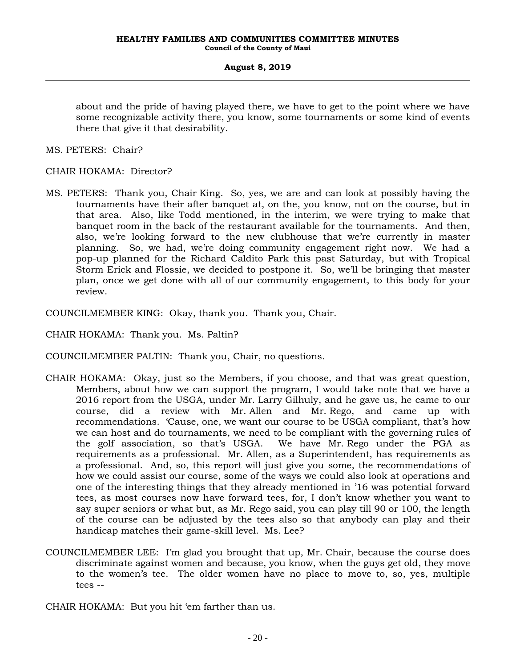about and the pride of having played there, we have to get to the point where we have some recognizable activity there, you know, some tournaments or some kind of events there that give it that desirability.

MS. PETERS: Chair?

CHAIR HOKAMA: Director?

MS. PETERS: Thank you, Chair King. So, yes, we are and can look at possibly having the tournaments have their after banquet at, on the, you know, not on the course, but in that area. Also, like Todd mentioned, in the interim, we were trying to make that banquet room in the back of the restaurant available for the tournaments. And then, also, we're looking forward to the new clubhouse that we're currently in master planning. So, we had, we're doing community engagement right now. We had a pop-up planned for the Richard Caldito Park this past Saturday, but with Tropical Storm Erick and Flossie, we decided to postpone it. So, we'll be bringing that master plan, once we get done with all of our community engagement, to this body for your review.

COUNCILMEMBER KING: Okay, thank you. Thank you, Chair.

CHAIR HOKAMA: Thank you. Ms. Paltin?

COUNCILMEMBER PALTIN: Thank you, Chair, no questions.

- CHAIR HOKAMA: Okay, just so the Members, if you choose, and that was great question, Members, about how we can support the program, I would take note that we have a 2016 report from the USGA, under Mr. Larry Gilhuly, and he gave us, he came to our course, did a review with Mr. Allen and Mr. Rego, and came up with recommendations. 'Cause, one, we want our course to be USGA compliant, that's how we can host and do tournaments, we need to be compliant with the governing rules of the golf association, so that's USGA. We have Mr. Rego under the PGA as requirements as a professional. Mr. Allen, as a Superintendent, has requirements as a professional. And, so, this report will just give you some, the recommendations of how we could assist our course, some of the ways we could also look at operations and one of the interesting things that they already mentioned in '16 was potential forward tees, as most courses now have forward tees, for, I don't know whether you want to say super seniors or what but, as Mr. Rego said, you can play till 90 or 100, the length of the course can be adjusted by the tees also so that anybody can play and their handicap matches their game-skill level. Ms. Lee?
- COUNCILMEMBER LEE: I'm glad you brought that up, Mr. Chair, because the course does discriminate against women and because, you know, when the guys get old, they move to the women's tee. The older women have no place to move to, so, yes, multiple tees --

CHAIR HOKAMA: But you hit 'em farther than us.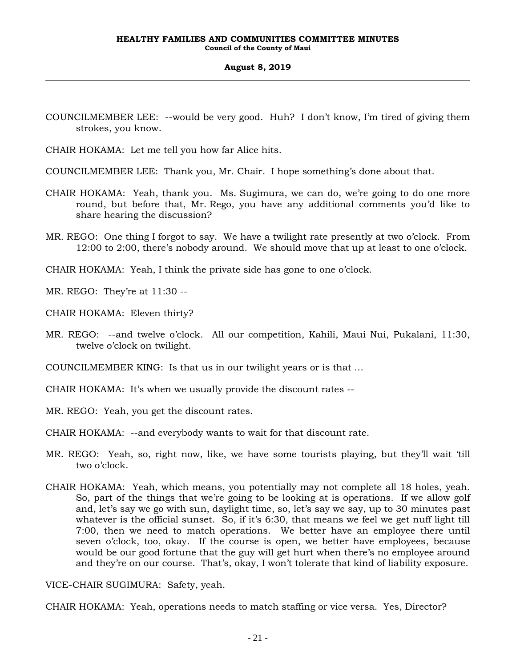- COUNCILMEMBER LEE: --would be very good. Huh? I don't know, I'm tired of giving them strokes, you know.
- CHAIR HOKAMA: Let me tell you how far Alice hits.
- COUNCILMEMBER LEE: Thank you, Mr. Chair. I hope something's done about that.
- CHAIR HOKAMA: Yeah, thank you. Ms. Sugimura, we can do, we're going to do one more round, but before that, Mr. Rego, you have any additional comments you'd like to share hearing the discussion?
- MR. REGO: One thing I forgot to say. We have a twilight rate presently at two o'clock. From 12:00 to 2:00, there's nobody around. We should move that up at least to one o'clock.
- CHAIR HOKAMA: Yeah, I think the private side has gone to one o'clock.
- MR. REGO: They're at 11:30 --
- CHAIR HOKAMA: Eleven thirty?
- MR. REGO: --and twelve o'clock. All our competition, Kahili, Maui Nui, Pukalani, 11:30, twelve o'clock on twilight.
- COUNCILMEMBER KING: Is that us in our twilight years or is that …
- CHAIR HOKAMA: It's when we usually provide the discount rates --
- MR. REGO: Yeah, you get the discount rates.
- CHAIR HOKAMA: --and everybody wants to wait for that discount rate.
- MR. REGO: Yeah, so, right now, like, we have some tourists playing, but they'll wait 'till two o'clock.
- CHAIR HOKAMA: Yeah, which means, you potentially may not complete all 18 holes, yeah. So, part of the things that we're going to be looking at is operations. If we allow golf and, let's say we go with sun, daylight time, so, let's say we say, up to 30 minutes past whatever is the official sunset. So, if it's 6:30, that means we feel we get nuff light till 7:00, then we need to match operations. We better have an employee there until seven o'clock, too, okay. If the course is open, we better have employees, because would be our good fortune that the guy will get hurt when there's no employee around and they're on our course. That's, okay, I won't tolerate that kind of liability exposure.

VICE-CHAIR SUGIMURA: Safety, yeah.

CHAIR HOKAMA: Yeah, operations needs to match staffing or vice versa. Yes, Director?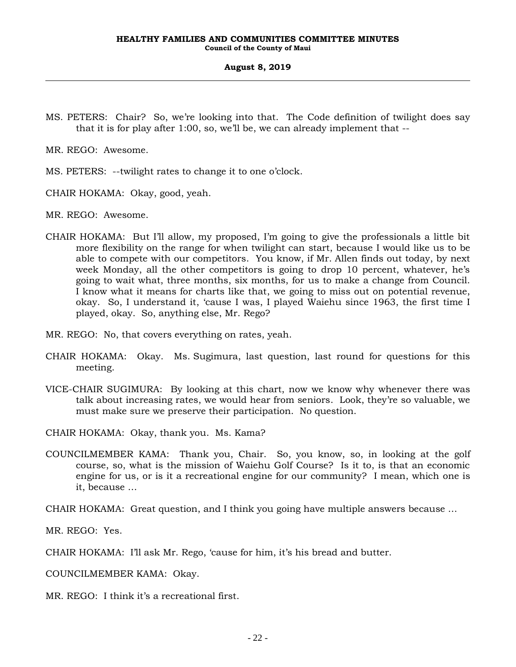MS. PETERS: Chair? So, we're looking into that. The Code definition of twilight does say that it is for play after 1:00, so, we'll be, we can already implement that --

MR. REGO: Awesome.

- MS. PETERS: --twilight rates to change it to one o'clock.
- CHAIR HOKAMA: Okay, good, yeah.
- MR. REGO: Awesome.
- CHAIR HOKAMA: But I'll allow, my proposed, I'm going to give the professionals a little bit more flexibility on the range for when twilight can start, because I would like us to be able to compete with our competitors. You know, if Mr. Allen finds out today, by next week Monday, all the other competitors is going to drop 10 percent, whatever, he's going to wait what, three months, six months, for us to make a change from Council. I know what it means for charts like that, we going to miss out on potential revenue, okay. So, I understand it, 'cause I was, I played Waiehu since 1963, the first time I played, okay. So, anything else, Mr. Rego?
- MR. REGO: No, that covers everything on rates, yeah.
- CHAIR HOKAMA: Okay. Ms. Sugimura, last question, last round for questions for this meeting.
- VICE-CHAIR SUGIMURA: By looking at this chart, now we know why whenever there was talk about increasing rates, we would hear from seniors. Look, they're so valuable, we must make sure we preserve their participation. No question.
- CHAIR HOKAMA: Okay, thank you. Ms. Kama?
- COUNCILMEMBER KAMA: Thank you, Chair. So, you know, so, in looking at the golf course, so, what is the mission of Waiehu Golf Course? Is it to, is that an economic engine for us, or is it a recreational engine for our community? I mean, which one is it, because …
- CHAIR HOKAMA: Great question, and I think you going have multiple answers because …

MR. REGO: Yes.

CHAIR HOKAMA: I'll ask Mr. Rego, 'cause for him, it's his bread and butter.

COUNCILMEMBER KAMA: Okay.

MR. REGO: I think it's a recreational first.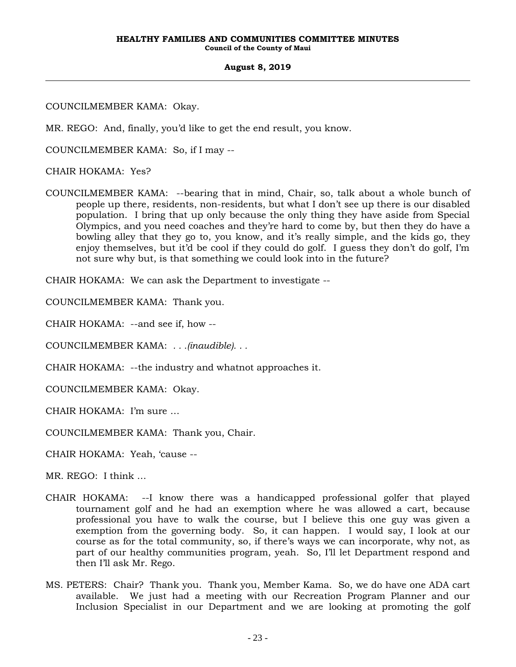COUNCILMEMBER KAMA: Okay.

MR. REGO: And, finally, you'd like to get the end result, you know.

COUNCILMEMBER KAMA: So, if I may --

CHAIR HOKAMA: Yes?

COUNCILMEMBER KAMA: --bearing that in mind, Chair, so, talk about a whole bunch of people up there, residents, non-residents, but what I don't see up there is our disabled population. I bring that up only because the only thing they have aside from Special Olympics, and you need coaches and they're hard to come by, but then they do have a bowling alley that they go to, you know, and it's really simple, and the kids go, they enjoy themselves, but it'd be cool if they could do golf. I guess they don't do golf, I'm not sure why but, is that something we could look into in the future?

CHAIR HOKAMA: We can ask the Department to investigate --

COUNCILMEMBER KAMA: Thank you.

CHAIR HOKAMA: --and see if, how --

COUNCILMEMBER KAMA: *. . .(inaudible). . .*

CHAIR HOKAMA: --the industry and whatnot approaches it.

COUNCILMEMBER KAMA: Okay.

CHAIR HOKAMA: I'm sure …

COUNCILMEMBER KAMA: Thank you, Chair.

CHAIR HOKAMA: Yeah, 'cause --

MR. REGO: I think …

- CHAIR HOKAMA: --I know there was a handicapped professional golfer that played tournament golf and he had an exemption where he was allowed a cart, because professional you have to walk the course, but I believe this one guy was given a exemption from the governing body. So, it can happen. I would say, I look at our course as for the total community, so, if there's ways we can incorporate, why not, as part of our healthy communities program, yeah. So, I'll let Department respond and then I'll ask Mr. Rego.
- MS. PETERS: Chair? Thank you. Thank you, Member Kama. So, we do have one ADA cart available. We just had a meeting with our Recreation Program Planner and our Inclusion Specialist in our Department and we are looking at promoting the golf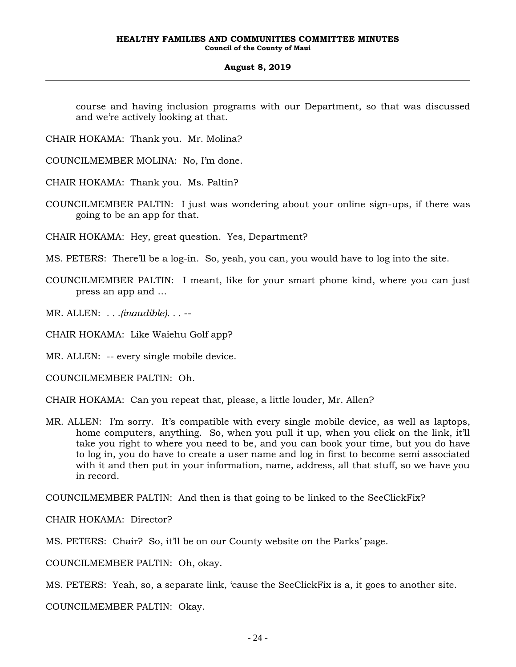course and having inclusion programs with our Department, so that was discussed and we're actively looking at that.

CHAIR HOKAMA: Thank you. Mr. Molina?

COUNCILMEMBER MOLINA: No, I'm done.

CHAIR HOKAMA: Thank you. Ms. Paltin?

COUNCILMEMBER PALTIN: I just was wondering about your online sign-ups, if there was going to be an app for that.

CHAIR HOKAMA: Hey, great question. Yes, Department?

- MS. PETERS: There'll be a log-in. So, yeah, you can, you would have to log into the site.
- COUNCILMEMBER PALTIN: I meant, like for your smart phone kind, where you can just press an app and …

MR. ALLEN: *. . .(inaudible). . .* --

CHAIR HOKAMA: Like Waiehu Golf app?

MR. ALLEN: -- every single mobile device.

COUNCILMEMBER PALTIN: Oh.

CHAIR HOKAMA: Can you repeat that, please, a little louder, Mr. Allen?

MR. ALLEN: I'm sorry. It's compatible with every single mobile device, as well as laptops, home computers, anything. So, when you pull it up, when you click on the link, it'll take you right to where you need to be, and you can book your time, but you do have to log in, you do have to create a user name and log in first to become semi associated with it and then put in your information, name, address, all that stuff, so we have you in record.

COUNCILMEMBER PALTIN: And then is that going to be linked to the SeeClickFix?

CHAIR HOKAMA: Director?

MS. PETERS: Chair? So, it'll be on our County website on the Parks' page.

COUNCILMEMBER PALTIN: Oh, okay.

MS. PETERS: Yeah, so, a separate link, 'cause the SeeClickFix is a, it goes to another site.

COUNCILMEMBER PALTIN: Okay.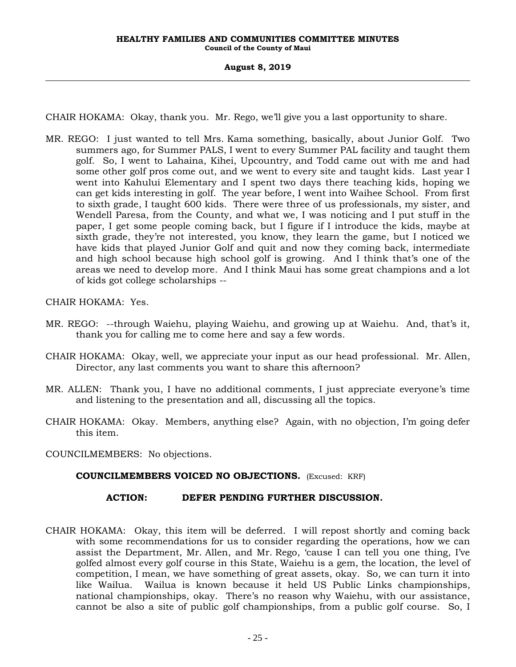CHAIR HOKAMA: Okay, thank you. Mr. Rego, we'll give you a last opportunity to share.

MR. REGO: I just wanted to tell Mrs. Kama something, basically, about Junior Golf. Two summers ago, for Summer PALS, I went to every Summer PAL facility and taught them golf. So, I went to Lahaina, Kihei, Upcountry, and Todd came out with me and had some other golf pros come out, and we went to every site and taught kids. Last year I went into Kahului Elementary and I spent two days there teaching kids, hoping we can get kids interesting in golf. The year before, I went into Waihee School. From first to sixth grade, I taught 600 kids. There were three of us professionals, my sister, and Wendell Paresa, from the County, and what we, I was noticing and I put stuff in the paper, I get some people coming back, but I figure if I introduce the kids, maybe at sixth grade, they're not interested, you know, they learn the game, but I noticed we have kids that played Junior Golf and quit and now they coming back, intermediate and high school because high school golf is growing. And I think that's one of the areas we need to develop more. And I think Maui has some great champions and a lot of kids got college scholarships --

CHAIR HOKAMA: Yes.

- MR. REGO: --through Waiehu, playing Waiehu, and growing up at Waiehu. And, that's it, thank you for calling me to come here and say a few words.
- CHAIR HOKAMA: Okay, well, we appreciate your input as our head professional. Mr. Allen, Director, any last comments you want to share this afternoon?
- MR. ALLEN: Thank you, I have no additional comments, I just appreciate everyone's time and listening to the presentation and all, discussing all the topics.
- CHAIR HOKAMA: Okay. Members, anything else? Again, with no objection, I'm going defer this item.

COUNCILMEMBERS: No objections.

## **COUNCILMEMBERS VOICED NO OBJECTIONS.** (Excused: KRF)

## **ACTION: DEFER PENDING FURTHER DISCUSSION.**

CHAIR HOKAMA: Okay, this item will be deferred. I will repost shortly and coming back with some recommendations for us to consider regarding the operations, how we can assist the Department, Mr. Allen, and Mr. Rego, 'cause I can tell you one thing, I've golfed almost every golf course in this State, Waiehu is a gem, the location, the level of competition, I mean, we have something of great assets, okay. So, we can turn it into like Wailua. Wailua is known because it held US Public Links championships, national championships, okay. There's no reason why Waiehu, with our assistance, cannot be also a site of public golf championships, from a public golf course. So, I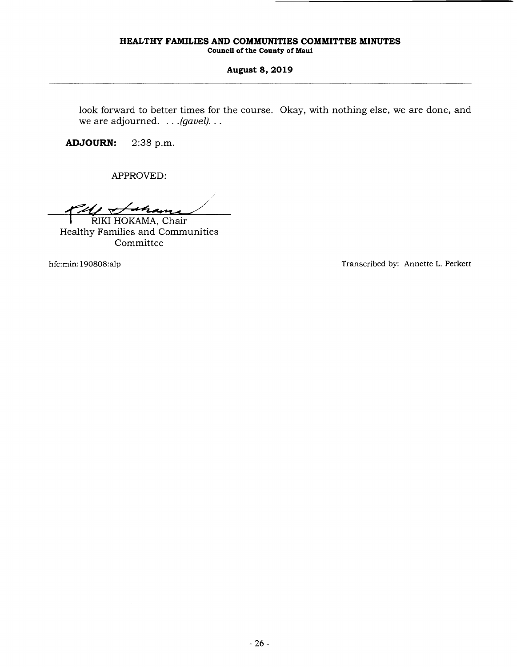**Council of the County of Maui** 

#### **August 8, 2019**

look forward to better times for the course. Okay, with nothing else, we are done, and we are adjourned. . . *. (gavel).* . .

**ADJOURN:** 2:38 p.m.

APPROVED:

PM Schame RIKI HOKAMA, Chair

Healthy Families and Communities Committee

hfc:min:190808:alp Transcribed by: Annette L. Perkett